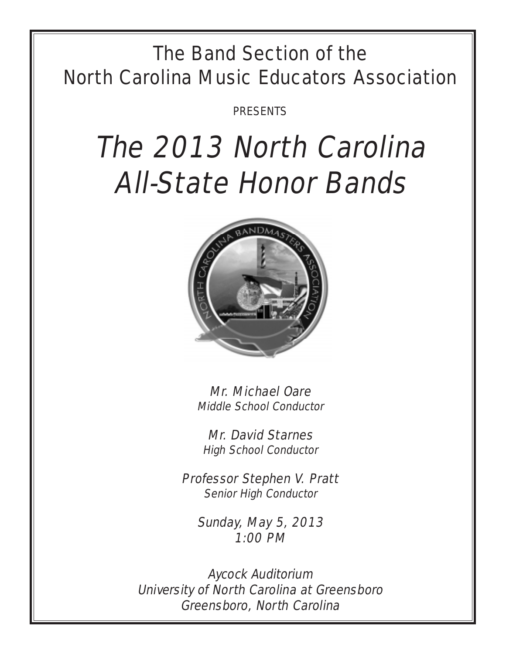## The Band Section of the North Carolina Music Educators Association

PRESENTS

# The 2013 North Carolina All-State Honor Bands



Mr. Michael Oare Middle School Conductor

Mr. David Starnes High School Conductor

Professor Stephen V. Pratt Senior High Conductor

Sunday, May 5, 2013 1:00 PM

Aycock Auditorium University of North Carolina at Greensboro Greensboro, North Carolina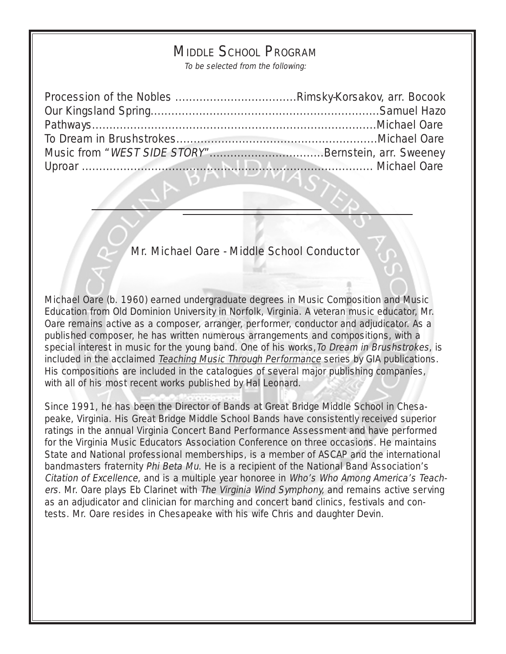## MIDDLE SCHOOL PROGRAM

To be selected from the following:

| Music from "WEST SIDE STORY"Bernstein, arr. Sweeney |  |
|-----------------------------------------------------|--|
|                                                     |  |

Mr. Michael Oare - Middle School Conductor

Michael Oare (b. 1960) earned undergraduate degrees in Music Composition and Music Education from Old Dominion University in Norfolk, Virginia. A veteran music educator, Mr. Oare remains active as a composer, arranger, performer, conductor and adjudicator. As a published composer, he has written numerous arrangements and compositions, with a special interest in music for the young band. One of his works, To Dream in Brushstrokes, is included in the acclaimed Teaching Music Through Performance series by GIA publications. His compositions are included in the catalogues of several major publishing companies, with all of his most recent works published by Hal Leonard.

Since 1991, he has been the Director of Bands at Great Bridge Middle School in Chesapeake, Virginia. His Great Bridge Middle School Bands have consistently received superior ratings in the annual Virginia Concert Band Performance Assessment and have performed for the Virginia Music Educators Association Conference on three occasions. He maintains State and National professional memberships, is a member of ASCAP and the international bandmasters fraternity Phi Beta Mu. He is a recipient of the National Band Association's Citation of Excellence, and is a multiple year honoree in Who's Who Among America's Teachers. Mr. Oare plays Eb Clarinet with The Virginia Wind Symphony, and remains active serving as an adjudicator and clinician for marching and concert band clinics, festivals and contests. Mr. Oare resides in Chesapeake with his wife Chris and daughter Devin.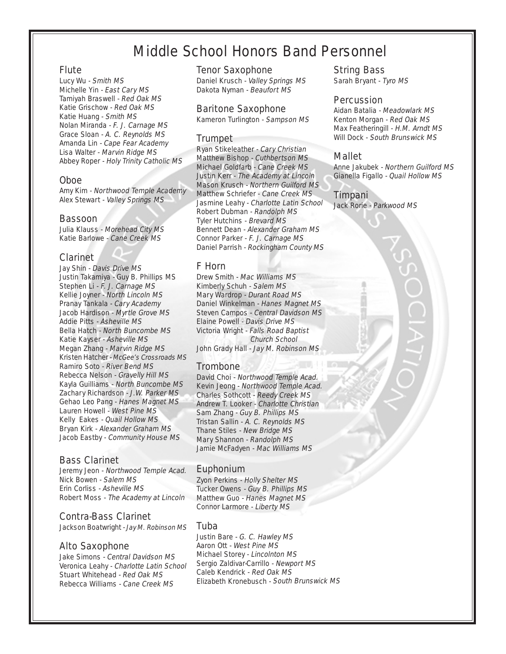## Middle School Honors Band Personnel

#### **Flute**

Lucy Wu - Smith MS Michelle Yin - East Cary MS Tamiyah Braswell - Red Oak MS Katie Grischow - Red Oak MS Katie Huang - Smith MS Nolan Miranda - F. J. Carnage MS Grace Sloan - A. C. Reynolds MS Amanda Lin - Cape Fear Academy Lisa Walter - Marvin Ridge MS Abbey Roper - Holy Trinity Catholic MS

#### Oboe

Amy Kim - Northwood Temple Academy Alex Stewart - Valley Springs MS

#### **Bassoon**

Julia Klauss - Morehead City MS Katie Barlowe - Cane Creek MS

#### Clarinet

Jay Shin - Davis Drive MS Justin Takamiya - Guy B. Phillips MS Stephen Li - F. J. Carnage MS Kellie Joyner - North Lincoln MS Pranay Tankala - Cary Academy Jacob Hardison - Myrtle Grove MS Addie Pitts - Asheville MS Bella Hatch - North Buncombe MS Katie Kayser - Asheville MS Megan Zhang - Marvin Ridge MS Kristen Hatcher - McGee's Crossroads MS Ramiro Soto - River Bend MS Rebecca Nelson - Gravelly Hill MS Kayla Guilliams - North Buncombe MS Zachary Richardson - J.W. Parker MS Gehao Leo Pang - Hanes Magnet MS Lauren Howell - West Pine MS Kelly Eakes - Quail Hollow MS Bryan Kirk - Alexander Graham MS Jacob Eastby - Community House MS

#### Bass Clarinet

Jeremy Jeon - Northwood Temple Acad. Nick Bowen - Salem MS Erin Corliss - Asheville MS Robert Moss - The Academy at Lincoln

#### Contra-Bass Clarinet

Jackson Boatwright - Jay M. Robinson MS

#### Alto Saxophone

Jake Simons - Central Davidson MS Veronica Leahy - Charlotte Latin School Stuart Whitehead - Red Oak MS Rebecca Williams - Cane Creek MS

#### Tenor Saxophone

Daniel Krusch - Valley Springs MS Dakota Nyman - Beaufort MS

#### Baritone Saxophone

Kameron Turlington - Sampson MS

#### Trumpet

Ryan Stikeleather - Cary Christian Matthew Bishop - Cuthbertson MS Michael Goldfarb - Cane Creek MS Justin Kerr - The Academy at Lincoln Mason Krusch - Northern Guilford MS Matthew Schriefer - Cane Creek MS Jasmine Leahy - Charlotte Latin School Robert Dubman - Randolph MS Tyler Hutchins - Brevard MS Bennett Dean - Alexander Graham MS Connor Parker - F. J. Carnage MS Daniel Parrish - Rockingham County MS

#### F Horn

Drew Smith - Mac Williams MS Kimberly Schuh - Salem MS Mary Wardrop - Durant Road MS Daniel Winkelman - Hanes Magnet MS Steven Campos - Central Davidson MS Elaine Powell - Davis Drive MS Victoria Wright - Falls Road Baptist Church School John Grady Hall - Jay M. Robinson MS

#### **Trombone**

David Choi - Northwood Temple Acad. Kevin Jeong - Northwood Temple Acad. Charles Sothcott - Reedy Creek MS Andrew T. Looker - Charlotte Christian Sam Zhang - Guy B. Phillips MS Tristan Sallin - A. C. Reynolds MS Thane Stiles - New Bridge MS Mary Shannon - Randolph MS Jamie McFadyen - Mac Williams MS

#### Euphonium

Zyon Perkins - Holly Shelter MS Tucker Owens - Guy B. Phillips MS Matthew Guo - Hanes Magnet MS Connor Larmore - Liberty MS

#### Tuba

Justin Bare - G. C. Hawley MS Aaron Ott - West Pine MS Michael Storey - Lincolnton MS Sergio Zaldivar-Carrillo - Newport MS Caleb Kendrick - Red Oak MS Elizabeth Kronebusch - South Brunswick MS

#### String Bass

Sarah Bryant - Tyro MS

#### **Percussion**

Aidan Batalia - Meadowlark MS Kenton Morgan - Red Oak MS Max Featheringill - H.M. Arndt MS Will Dock - South Brunswick MS

#### Mallet

Anne Jakubek - Northern Guilford MS Gianella Figallo - Quail Hollow MS

#### Timpani

Jack Rorie - Parkwood MS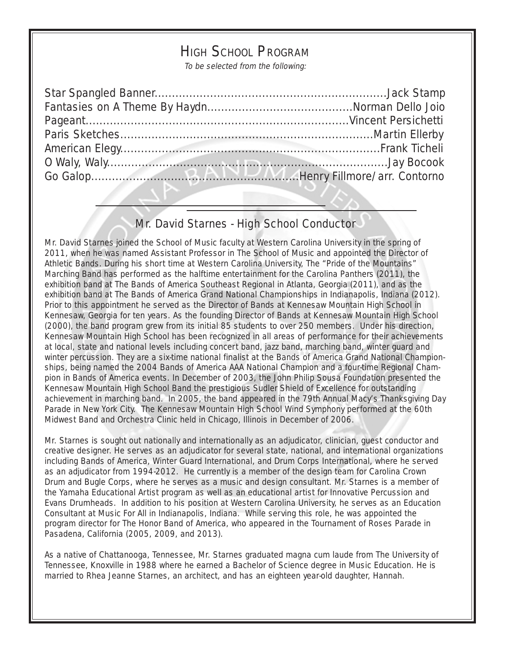## HIGH SCHOOL PROGRAM

To be selected from the following:

## Mr. David Starnes - High School Conductor

Mr. David Starnes joined the School of Music faculty at Western Carolina University in the spring of 2011, when he was named Assistant Professor in The School of Music and appointed the Director of Athletic Bands. During his short time at Western Carolina University, The "Pride of the Mountains" Marching Band has performed as the halftime entertainment for the Carolina Panthers (2011), the exhibition band at The Bands of America Southeast Regional in Atlanta, Georgia (2011), and as the exhibition band at The Bands of America Grand National Championships in Indianapolis, Indiana (2012). Prior to this appointment he served as the Director of Bands at Kennesaw Mountain High School in Kennesaw, Georgia for ten years. As the founding Director of Bands at Kennesaw Mountain High School (2000), the band program grew from its initial 85 students to over 250 members. Under his direction, Kennesaw Mountain High School has been recognized in all areas of performance for their achievements at local, state and national levels including concert band, jazz band, marching band, winter guard and winter percussion. They are a six-time national finalist at the Bands of America Grand National Championships, being named the 2004 Bands of America AAA National Champion and a four-time Regional Champion in Bands of America events. In December of 2003, the John Philip Sousa Foundation presented the Kennesaw Mountain High School Band the prestigious Sudler Shield of Excellence for outstanding achievement in marching band. In 2005, the band appeared in the 79th Annual Macy's Thanksgiving Day Parade in New York City. The Kennesaw Mountain High School Wind Symphony performed at the 60th Midwest Band and Orchestra Clinic held in Chicago, Illinois in December of 2006.

Mr. Starnes is sought out nationally and internationally as an adjudicator, clinician, guest conductor and creative designer. He serves as an adjudicator for several state, national, and international organizations including Bands of America, Winter Guard International, and Drum Corps International, where he served as an adjudicator from 1994-2012. He currently is a member of the design team for Carolina Crown Drum and Bugle Corps, where he serves as a music and design consultant. Mr. Starnes is a member of the Yamaha Educational Artist program as well as an educational artist for Innovative Percussion and Evans Drumheads. In addition to his position at Western Carolina University, he serves as an Education Consultant at Music For All in Indianapolis, Indiana. While serving this role, he was appointed the program director for The Honor Band of America, who appeared in the Tournament of Roses Parade in Pasadena, California (2005, 2009, and 2013).

As a native of Chattanooga, Tennessee, Mr. Starnes graduated magna cum laude from The University of Tennessee, Knoxville in 1988 where he earned a Bachelor of Science degree in Music Education. He is married to Rhea Jeanne Starnes, an architect, and has an eighteen year-old daughter, Hannah.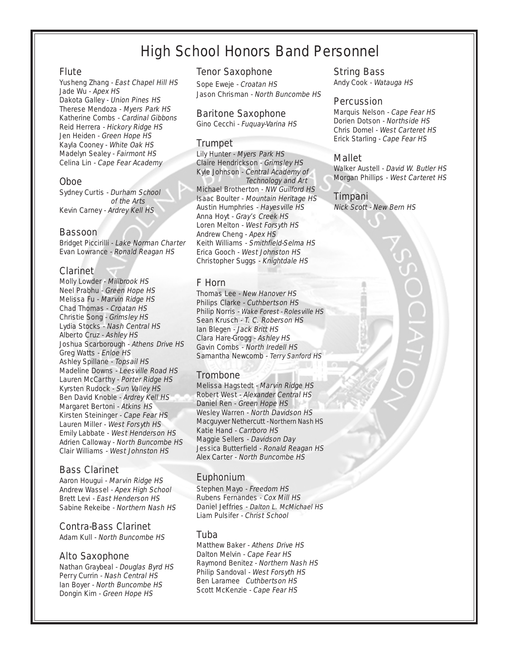## High School Honors Band Personnel

#### Flute

Yusheng Zhang - East Chapel Hill HS Jade Wu - Apex HS Dakota Galley - Union Pines HS Therese Mendoza - Myers Park HS Katherine Combs - Cardinal Gibbons Reid Herrera - Hickory Ridge HS Jen Heiden - Green Hope HS Kayla Cooney - White Oak HS Madelyn Sealey - Fairmont HS Celina Lin - Cape Fear Academy

#### Oboe

Sydney Curtis - Durham School of the Arts Kevin Carney - Ardrey Kell HS

#### **Bassoon**

Bridget Piccirilli - Lake Norman Charter Evan Lowrance - Ronald Reagan HS

#### Clarinet

Molly Lowder - Millbrook HS Neel Prabhu - Green Hope HS Melissa Fu - Marvin Ridge HS Chad Thomas - Croatan HS Christie Song - Grimsley HS Lydia Stocks - Nash Central HS Alberto Cruz - Ashley HS Joshua Scarborough - Athens Drive HS Greg Watts - Enloe HS Ashley Spillane - Topsail HS Madeline Downs - Leesville Road HS Lauren McCarthy - Porter Ridge HS Kyrsten Rudock - Sun Valley HS Ben David Knoble - Ardrey Kell HS Margaret Bertoni - Atkins HS Kirsten Steininger - Cape Fear HS Lauren Miller - West Forsyth HS Emily Labbate - West Henderson HS Adrien Calloway - North Buncombe HS Clair Williams - West Johnston HS

#### Bass Clarinet

Aaron Hougui - Marvin Ridge HS Andrew Wassel - Apex High School Brett Levi - East Henderson HS Sabine Rekeibe - Northern Nash HS

#### Contra-Bass Clarinet

Adam Kull - North Buncombe HS

#### Alto Saxophone

Nathan Graybeal - Douglas Byrd HS Perry Currin - Nash Central HS Ian Boyer - North Buncombe HS Dongin Kim - Green Hope HS

#### Tenor Saxophone

Sope Eweje - Croatan HS Jason Chrisman - North Buncombe HS

#### Baritone Saxophone

Gino Cecchi - Fuquay-Varina HS

#### Trumpet

Lily Hunter - Myers Park HS Claire Hendrickson - Grimsley HS Kyle Johnson - Central Academy of Technology and Art Michael Brotherton - NW Guilford HS Isaac Boulter - Mountain Heritage HS Austin Humphries - Hayesville HS Anna Hoyt - Gray's Creek HS Loren Melton - West Forsyth HS Andrew Cheng - Apex HS Keith Williams - Smithfield-Selma HS Erica Gooch - West Johnston HS Christopher Suggs - Knightdale HS

#### F Horn

Thomas Lee - New Hanover HS Philips Clarke - Cuthbertson HS Philip Norris - Wake Forest - Rolesville HS Sean Krusch - T. C. Roberson HS Ian Blegen - Jack Britt HS Clara Hare-Grogg - Ashley HS Gavin Combs - North Iredell HS Samantha Newcomb - Terry Sanford HS

#### Trombone

Melissa Hagstedt - Marvin Ridge HS Robert West - Alexander Central HS Daniel Ren - Green Hope HS Wesley Warren - North Davidson HS Macguyver Nethercutt - Northern Nash HS Katie Hand - Carrboro HS Maggie Sellers - Davidson Day Jessica Butterfield - Ronald Reagan HS Alex Carter - North Buncombe HS

#### Euphonium

Stephen Mayo - Freedom HS Rubens Fernandes - Cox Mill HS Daniel Jeffries - Dalton L. McMichael HS Liam Pulsifer - Christ School

#### Tuba

Matthew Baker - Athens Drive HS Dalton Melvin - Cape Fear HS Raymond Benitez - Northern Nash HS Philip Sandoval - West Forsyth HS Ben Laramee Cuthbertson HS Scott McKenzie - Cape Fear HS

#### String Bass

Andy Cook - Watauga HS

#### Percussion

Marquis Nelson - Cape Fear HS Dorien Dotson - Northside HS Chris Domel - West Carteret HS Erick Starling - Cape Fear HS

#### Mallet

Walker Austell - David W. Butler HS Morgan Phillips - West Carteret HS

#### Timpani

Nick Scott - New Bern HS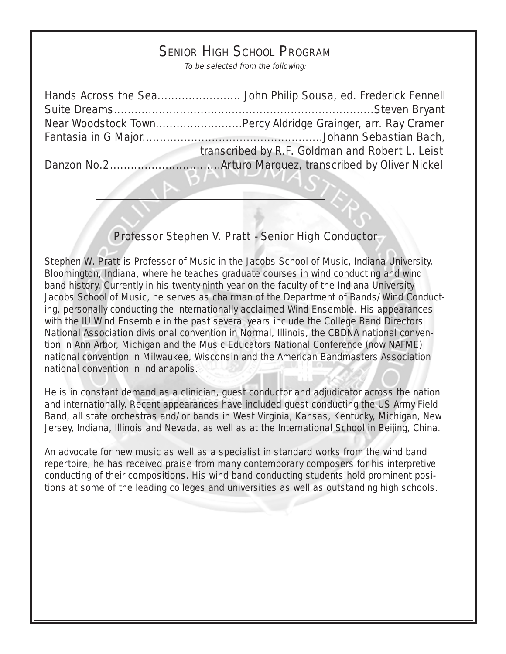## SENIOR HIGH SCHOOL PROGRAM

To be selected from the following:

| Near Woodstock TownPercy Aldridge Grainger, arr. Ray Cramer |
|-------------------------------------------------------------|
|                                                             |
| transcribed by R.F. Goldman and Robert L. Leist             |
|                                                             |

### Professor Stephen V. Pratt - Senior High Conductor

Stephen W. Pratt is Professor of Music in the Jacobs School of Music, Indiana University, Bloomington, Indiana, where he teaches graduate courses in wind conducting and wind band history. Currently in his twenty-ninth year on the faculty of the Indiana University Jacobs School of Music, he serves as chairman of the Department of Bands/Wind Conducting, personally conducting the internationally acclaimed Wind Ensemble. His appearances with the IU Wind Ensemble in the past several years include the College Band Directors National Association divisional convention in Normal, Illinois, the CBDNA national convention in Ann Arbor, Michigan and the Music Educators National Conference (now NAFME) national convention in Milwaukee, Wisconsin and the American Bandmasters Association national convention in Indianapolis.

He is in constant demand as a clinician, guest conductor and adjudicator across the nation and internationally. Recent appearances have included guest conducting the US Army Field Band, all state orchestras and/or bands in West Virginia, Kansas, Kentucky, Michigan, New Jersey, Indiana, Illinois and Nevada, as well as at the International School in Beijing, China.

An advocate for new music as well as a specialist in standard works from the wind band repertoire, he has received praise from many contemporary composers for his interpretive conducting of their compositions. His wind band conducting students hold prominent positions at some of the leading colleges and universities as well as outstanding high schools.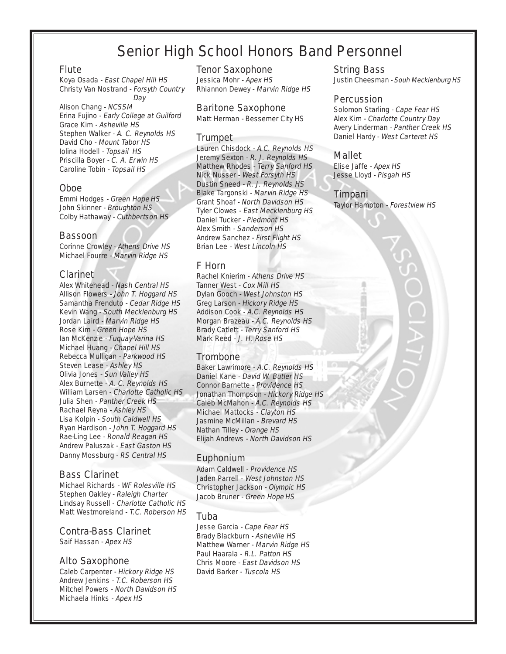## Senior High School Honors Band Personnel

#### Flute

Koya Osada - East Chapel Hill HS Christy Van Nostrand - Forsyth Country Day

Alison Chang - NCSSM Erina Fujino - Early College at Guilford Grace Kim - Asheville HS Stephen Walker - A. C. Reynolds HS David Cho - Mount Tabor HS Iolina Hodell - Topsail HS Priscilla Boyer - C. A. Erwin HS Caroline Tobin - Topsail HS

#### Oboe

Emmi Hodges - Green Hope HS John Skinner - Broughton HS Colby Hathaway - Cuthbertson HS

#### Bassoon

Corinne Crowley - Athens Drive HS Michael Fourre - Marvin Ridge HS

#### Clarinet

Alex Whitehead - Nash Central HS Allison Flowers - John T. Hoggard HS Samantha Frenduto - Cedar Ridge HS Kevin Wang - South Mecklenburg HS Jordan Laird - Marvin Ridge HS Rose Kim - Green Hope HS Ian McKenzie - Fuquay-Varina HS Michael Huang - Chapel Hill HS Rebecca Mulligan - Parkwood HS Steven Lease - Ashley HS Olivia Jones - Sun Valley HS Alex Burnette - A. C. Reynolds HS William Larsen - Charlotte Catholic HS Julia Shen - Panther Creek HS Rachael Reyna - Ashley HS Lisa Kolpin - South Caldwell HS Ryan Hardison - John T. Hoggard HS Rae-Ling Lee - Ronald Reagan HS Andrew Paluszak - East Gaston HS Danny Mossburg - RS Central HS

#### Bass Clarinet

Michael Richards - WF Rolesville HS Stephen Oakley - Raleigh Charter Lindsay Russell - Charlotte Catholic HS Matt Westmoreland - T.C. Roberson HS

#### Contra-Bass Clarinet

Saif Hassan - Apex HS

#### Alto Saxophone

Caleb Carpenter - Hickory Ridge HS Andrew Jenkins - T.C. Roberson HS Mitchel Powers - North Davidson HS Michaela Hinks - Apex HS

#### Tenor Saxophone

Jessica Mohr - Apex HS Rhiannon Dewey - Marvin Ridge HS

#### Baritone Saxophone

Matt Herman - Bessemer City HS

#### **Trumpet**

Lauren Chisdock - A.C. Reynolds HS Jeremy Sexton - R. J. Reynolds HS Matthew Rhodes - Terry Sanford HS Nick Nusser - West Forsyth HS Dustin Sneed - R. J. Reynolds HS Blake Targonski - Marvin Ridge HS Grant Shoaf - North Davidson HS Tyler Clowes - East Mecklenburg HS Daniel Tucker - Piedmont HS Alex Smith - Sanderson HS Andrew Sanchez - First Flight HS Brian Lee - West Lincoln HS

#### F Horn

Rachel Knierim - Athens Drive HS Tanner West - Cox Mill HS Dylan Gooch - West Johnston HS Greg Larson - Hickory Ridge HS Addison Cook - A.C. Reynolds HS Morgan Brazeau - A.C. Reynolds HS Brady Catlett - Terry Sanford HS Mark Reed - J. H. Rose HS

#### Trombone

Baker Lawrimore - A.C. Reynolds HS Daniel Kane - David W. Butler HS Connor Barnette - Providence HS Jonathan Thompson - Hickory Ridge HS Caleb McMahon - A.C. Reynolds HS Michael Mattocks - Clayton HS Jasmine McMillan - Brevard HS Nathan Tilley - Orange HS Elijah Andrews - North Davidson HS

#### Euphonium

Adam Caldwell - Providence HS Jaden Parrell - West Johnston HS Christopher Jackson - Olympic HS Jacob Bruner - Green Hope HS

#### Tuba

Jesse Garcia - Cape Fear HS Brady Blackburn - Asheville HS Matthew Warner - Marvin Ridge HS Paul Haarala - R.L. Patton HS Chris Moore - East Davidson HS David Barker - Tuscola HS

#### String Bass

Justin Cheesman - Souh Mecklenburg HS

#### Percussion

Solomon Starling - Cape Fear HS Alex Kim - Charlotte Country Day Avery Linderman - Panther Creek HS Daniel Hardy - West Carteret HS

#### Mallet

Elise Jaffe - Apex HS Jesse Lloyd - Pisgah HS

#### Timpani

Taylor Hampton - Forestview HS